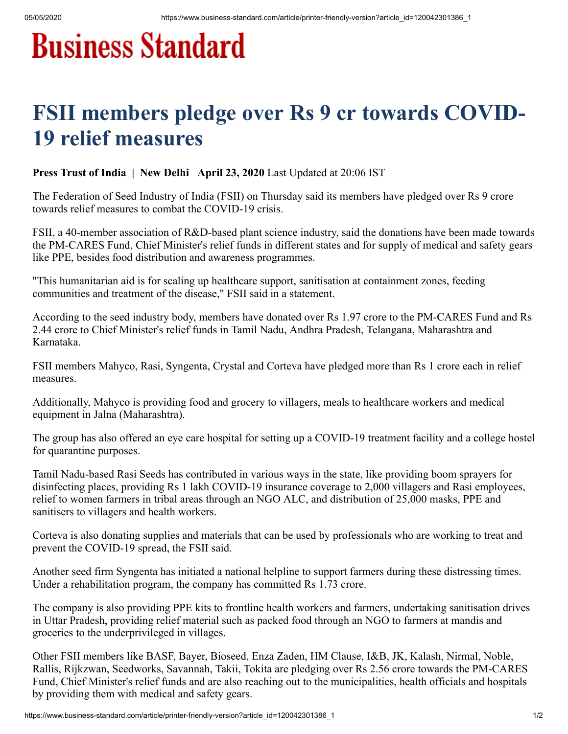## **Business Standard**

## FSII members pledge over Rs 9 cr towards COVID-19 relief measures

Press Trust of India | New Delhi April 23, 2020 Last Updated at 20:06 IST

The Federation of Seed Industry of India (FSII) on Thursday said its members have pledged over Rs 9 crore towards relief measures to combat the COVID-19 crisis.

FSII, a 40-member association of R&D-based plant science industry, said the donations have been made towards the PM-CARES Fund, Chief Minister's relief funds in different states and for supply of medical and safety gears like PPE, besides food distribution and awareness programmes.

"This humanitarian aid is for scaling up healthcare support, sanitisation at containment zones, feeding communities and treatment of the disease," FSII said in a statement.

According to the seed industry body, members have donated over Rs 1.97 crore to the PM-CARES Fund and Rs 2.44 crore to Chief Minister's relief funds in Tamil Nadu, Andhra Pradesh, Telangana, Maharashtra and Karnataka.

FSII members Mahyco, Rasi, Syngenta, Crystal and Corteva have pledged more than Rs 1 crore each in relief measures.

Additionally, Mahyco is providing food and grocery to villagers, meals to healthcare workers and medical equipment in Jalna (Maharashtra).

The group has also offered an eye care hospital for setting up a COVID-19 treatment facility and a college hostel for quarantine purposes.

Tamil Nadu-based Rasi Seeds has contributed in various ways in the state, like providing boom sprayers for disinfecting places, providing Rs 1 lakh COVID-19 insurance coverage to 2,000 villagers and Rasi employees, relief to women farmers in tribal areas through an NGO ALC, and distribution of 25,000 masks, PPE and sanitisers to villagers and health workers.

Corteva is also donating supplies and materials that can be used by professionals who are working to treat and prevent the COVID-19 spread, the FSII said.

Another seed firm Syngenta has initiated a national helpline to support farmers during these distressing times. Under a rehabilitation program, the company has committed Rs 1.73 crore.

The company is also providing PPE kits to frontline health workers and farmers, undertaking sanitisation drives in Uttar Pradesh, providing relief material such as packed food through an NGO to farmers at mandis and groceries to the underprivileged in villages.

Other FSII members like BASF, Bayer, Bioseed, Enza Zaden, HM Clause, I&B, JK, Kalash, Nirmal, Noble, Rallis, Rijkzwan, Seedworks, Savannah, Takii, Tokita are pledging over Rs 2.56 crore towards the PM-CARES Fund, Chief Minister's relief funds and are also reaching out to the municipalities, health officials and hospitals by providing them with medical and safety gears.